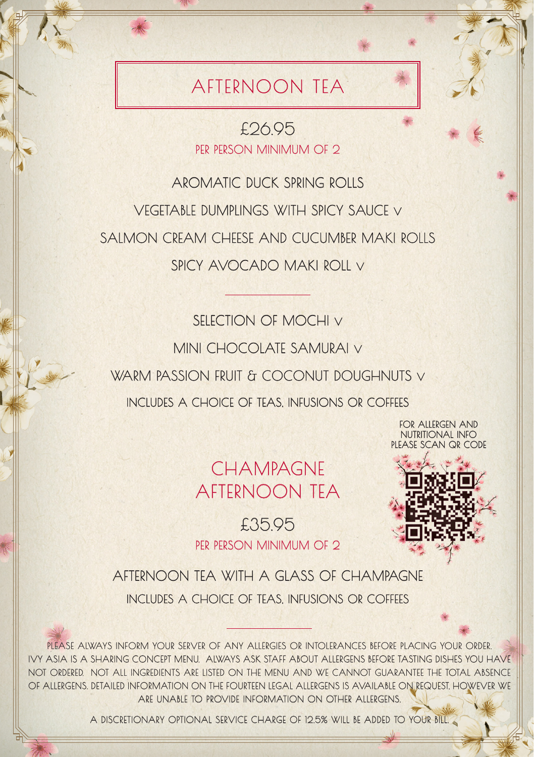## AFTERNOON TEA

£26.95 PER PERSON MINIMUM OF 2

AROMATIC DUCK SPRING ROLLS VEGETABLE DUMPLINGS WITH SPICY SAUCE V SALMON CREAM CHEESE AND CUCUMBER MAKI ROLLS SPICY AVOCADO MAKI ROLL V

SELECTION OF MOCHI V MINI CHOCOLATE SAMURAI V WARM PASSION FRUIT & COCONUT DOUGHNUTS V INCLUDES A CHOICE OF TEAS, INFUSIONS OR COFFEES

> FOR ALLERGEN AND NUTRITIONAL INFO PLEASE SCAN QR CODE

CHAMPAGNE AFTERNOON TEA

£35.95 PER PERSON MINIMUM OF 2



AFTERNOON TEA WITH A GLASS OF CHAMPAGNE INCLUDES A CHOICE OF TEAS, INFUSIONS OR COFFEES

PLEASE ALWAYS INFORM YOUR SERVER OF ANY ALLERGIES OR INTOLERANCES BEFORE PLACING YOUR ORDER. IVY ASIA IS A SHARING CONCEPT MENU. ALWAYS ASK STAFF ABOUT ALLERGENS BEFORE TASTING DISHES YOU HAVE NOT ORDERED. NOT ALL INGREDIENTS ARE LISTED ON THE MENU AND WE CANNOT GUARANTEE THE TOTAL ABSENCE OF ALLERGENS. DETAILED INFORMATION ON THE FOURTEEN LEGAL ALLERGENS IS AVAILABLE ON REQUEST, HOWEVER WE ARE UNABLE TO PROVIDE INFORMATION ON OTHER ALLERGENS.

A DISCRETIONARY OPTIONAL SERVICE CHARGE OF 12.5% WILL BE ADDED TO YOUR BILL.